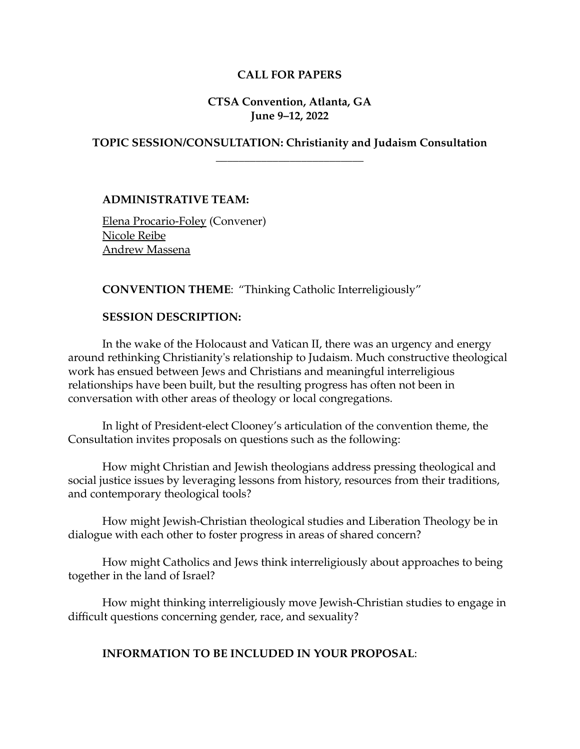## **CALL FOR PAPERS**

## **CTSA Convention, Atlanta, GA June 9–12, 2022**

# **TOPIC SESSION/CONSULTATION: Christianity and Judaism Consultation \_\_\_\_\_\_\_\_\_\_\_\_\_\_\_\_\_\_\_\_\_\_\_\_\_\_**

**ADMINISTRATIVE TEAM:**

Elena Procario-Foley (Convener) Nicole Reibe Andrew Massena

**CONVENTION THEME**: "Thinking Catholic Interreligiously"

#### **SESSION DESCRIPTION:**

In the wake of the Holocaust and Vatican II, there was an urgency and energy around rethinking Christianity's relationship to Judaism. Much constructive theological work has ensued between Jews and Christians and meaningful interreligious relationships have been built, but the resulting progress has often not been in conversation with other areas of theology or local congregations.

In light of President-elect Clooney's articulation of the convention theme, the Consultation invites proposals on questions such as the following:

How might Christian and Jewish theologians address pressing theological and social justice issues by leveraging lessons from history, resources from their traditions, and contemporary theological tools?

How might Jewish-Christian theological studies and Liberation Theology be in dialogue with each other to foster progress in areas of shared concern?

How might Catholics and Jews think interreligiously about approaches to being together in the land of Israel?

How might thinking interreligiously move Jewish-Christian studies to engage in difficult questions concerning gender, race, and sexuality?

#### **INFORMATION TO BE INCLUDED IN YOUR PROPOSAL**: